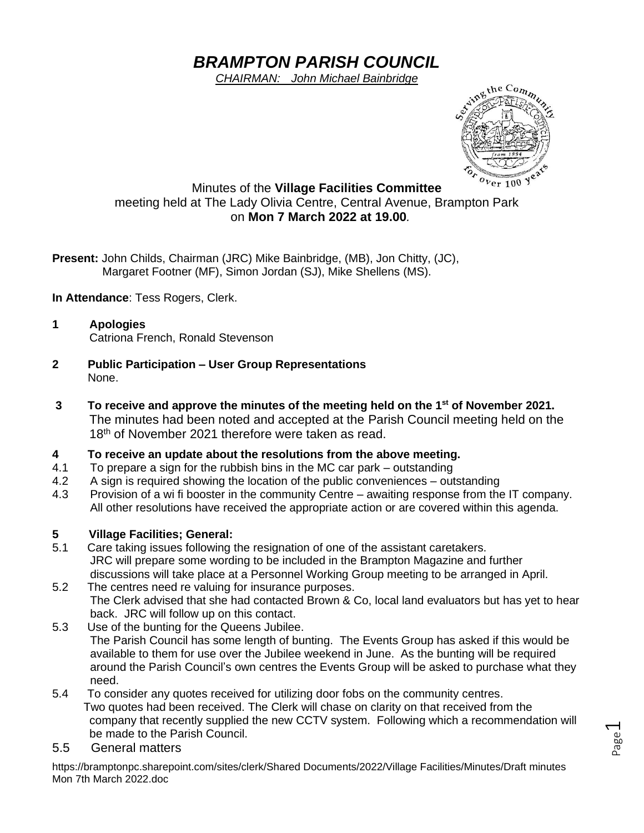# *BRAMPTON PARISH COUNCIL*

*CHAIRMAN: John Michael Bainbridge*



Page  $\overline{\phantom{0}}$ 

### Minutes of the **Village Facilities Committee** meeting held at The Lady Olivia Centre, Central Avenue, Brampton Park on **Mon 7 March 2022 at 19.00***.*

**Present:** John Childs, Chairman (JRC) Mike Bainbridge, (MB), Jon Chitty, (JC), Margaret Footner (MF), Simon Jordan (SJ), Mike Shellens (MS).

**In Attendance**: Tess Rogers, Clerk.

- **1 Apologies** Catriona French, Ronald Stevenson
- **2 Public Participation – User Group Representations** None.
- **3 To receive and approve the minutes of the meeting held on the 1 st of November 2021.** The minutes had been noted and accepted at the Parish Council meeting held on the 18<sup>th</sup> of November 2021 therefore were taken as read.

### **4 To receive an update about the resolutions from the above meeting.**

- 4.1 To prepare a sign for the rubbish bins in the MC car park outstanding
- 4.2 A sign is required showing the location of the public conveniences outstanding
- 4.3 Provision of a wi fi booster in the community Centre awaiting response from the IT company. All other resolutions have received the appropriate action or are covered within this agenda.

### **5 Village Facilities; General:**

- 5.1 Care taking issues following the resignation of one of the assistant caretakers. JRC will prepare some wording to be included in the Brampton Magazine and further discussions will take place at a Personnel Working Group meeting to be arranged in April.
- 5.2 The centres need re valuing for insurance purposes. The Clerk advised that she had contacted Brown & Co, local land evaluators but has yet to hear back. JRC will follow up on this contact.
- 5.3 Use of the bunting for the Queens Jubilee. The Parish Council has some length of bunting. The Events Group has asked if this would be available to them for use over the Jubilee weekend in June. As the bunting will be required around the Parish Council's own centres the Events Group will be asked to purchase what they need.
- 5.4 To consider any quotes received for utilizing door fobs on the community centres. Two quotes had been received. The Clerk will chase on clarity on that received from the company that recently supplied the new CCTV system. Following which a recommendation will be made to the Parish Council.
- 5.5 General matters

https://bramptonpc.sharepoint.com/sites/clerk/Shared Documents/2022/Village Facilities/Minutes/Draft minutes Mon 7th March 2022.doc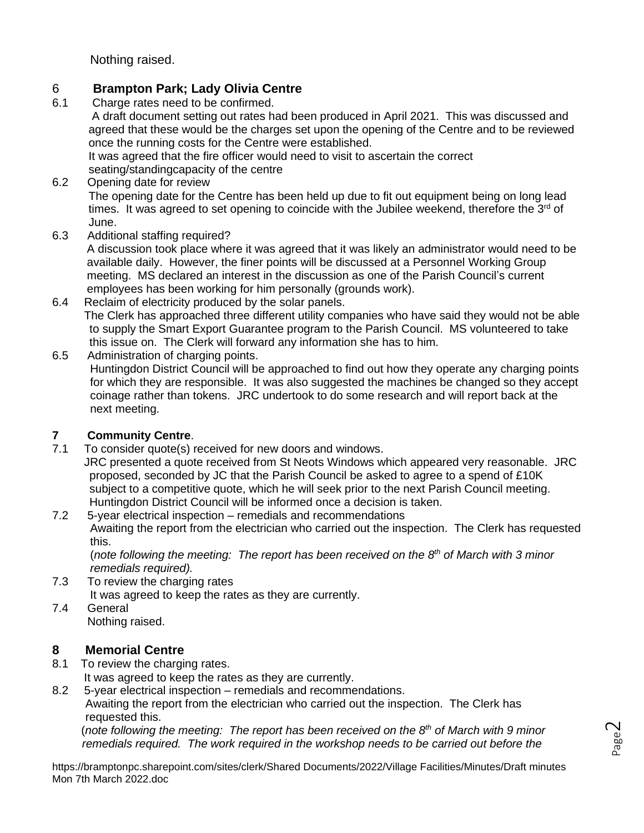Nothing raised.

# 6 **Brampton Park; Lady Olivia Centre**

Charge rates need to be confirmed.

A draft document setting out rates had been produced in April 2021. This was discussed and agreed that these would be the charges set upon the opening of the Centre and to be reviewed once the running costs for the Centre were established.

It was agreed that the fire officer would need to visit to ascertain the correct seating/standingcapacity of the centre

- 6.2 Opening date for review The opening date for the Centre has been held up due to fit out equipment being on long lead times. It was agreed to set opening to coincide with the Jubilee weekend, therefore the  $3<sup>rd</sup>$  of June.
- 6.3 Additional staffing required?

A discussion took place where it was agreed that it was likely an administrator would need to be available daily. However, the finer points will be discussed at a Personnel Working Group meeting. MS declared an interest in the discussion as one of the Parish Council's current employees has been working for him personally (grounds work).

- 6.4 Reclaim of electricity produced by the solar panels. The Clerk has approached three different utility companies who have said they would not be able to supply the Smart Export Guarantee program to the Parish Council. MS volunteered to take this issue on. The Clerk will forward any information she has to him.
- 6.5 Administration of charging points. Huntingdon District Council will be approached to find out how they operate any charging points for which they are responsible. It was also suggested the machines be changed so they accept coinage rather than tokens. JRC undertook to do some research and will report back at the next meeting.

# **7 Community Centre**.

7.1 To consider quote(s) received for new doors and windows.

 JRC presented a quote received from St Neots Windows which appeared very reasonable. JRC proposed, seconded by JC that the Parish Council be asked to agree to a spend of £10K subject to a competitive quote, which he will seek prior to the next Parish Council meeting. Huntingdon District Council will be informed once a decision is taken.

7.2 5-year electrical inspection – remedials and recommendations Awaiting the report from the electrician who carried out the inspection. The Clerk has requested this.

(*note following the meeting: The report has been received on the 8th of March with 3 minor remedials required).*

- 7.3 To review the charging rates It was agreed to keep the rates as they are currently.
- 7.4 General Nothing raised.

# **8 Memorial Centre**

- 8.1 To review the charging rates.
	- It was agreed to keep the rates as they are currently.
- 8.2 5-year electrical inspection remedials and recommendations.

Awaiting the report from the electrician who carried out the inspection. The Clerk has requested this.

 (*note following the meeting: The report has been received on the 8th of March with 9 minor remedials required. The work required in the workshop needs to be carried out before the* 

https://bramptonpc.sharepoint.com/sites/clerk/Shared Documents/2022/Village Facilities/Minutes/Draft minutes Mon 7th March 2022.doc